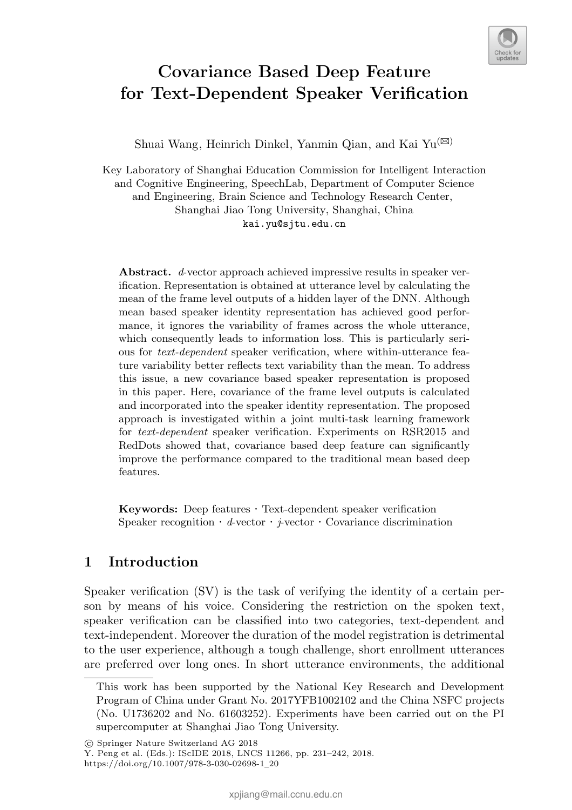

# Covariance Based Deep Feature for Text-Dependent Speaker Verification

Shuai Wang, Heinrich Dinkel, Yanmin Qian, and Kai Yu<sup>( $\boxtimes$ )</sup>

Key Laboratory of Shanghai Education Commission for Intelligent Interaction and Cognitive Engineering, SpeechLab, Department of Computer Science and Engineering, Brain Science and Technology Research Center, Shanghai Jiao Tong University, Shanghai, China kai.yu@sjtu.edu.cn

Abstract. *d*-vector approach achieved impressive results in speaker verification. Representation is obtained at utterance level by calculating the mean of the frame level outputs of a hidden layer of the DNN. Although mean based speaker identity representation has achieved good performance, it ignores the variability of frames across the whole utterance, which consequently leads to information loss. This is particularly serious for *text-dependent* speaker verification, where within-utterance feature variability better reflects text variability than the mean. To address this issue, a new covariance based speaker representation is proposed in this paper. Here, covariance of the frame level outputs is calculated and incorporated into the speaker identity representation. The proposed approach is investigated within a joint multi-task learning framework for *text-dependent* speaker verification. Experiments on RSR2015 and RedDots showed that, covariance based deep feature can significantly improve the performance compared to the traditional mean based deep features.

Keywords: Deep features *·* Text-dependent speaker verification Speaker recognition  $\cdot$  *d*-vector  $\cdot$  *j*-vector  $\cdot$  Covariance discrimination

# 1 Introduction

Speaker verification (SV) is the task of verifying the identity of a certain person by means of his voice. Considering the restriction on the spoken text, speaker verification can be classified into two categories, text-dependent and text-independent. Moreover the duration of the model registration is detrimental to the user experience, although a tough challenge, short enrollment utterances are preferred over long ones. In short utterance environments, the additional

⃝c Springer Nature Switzerland AG 2018

Y. Peng et al. (Eds.): IScIDE 2018, LNCS 11266, pp. 231–242, 2018. https://doi.org/10.1007/978-3-030-02698-1\_20

This work has been supported by the National Key Research and Development Program of China under Grant No. 2017YFB1002102 and the China NSFC projects (No. U1736202 and No. 61603252). Experiments have been carried out on the PI supercomputer at Shanghai Jiao Tong University.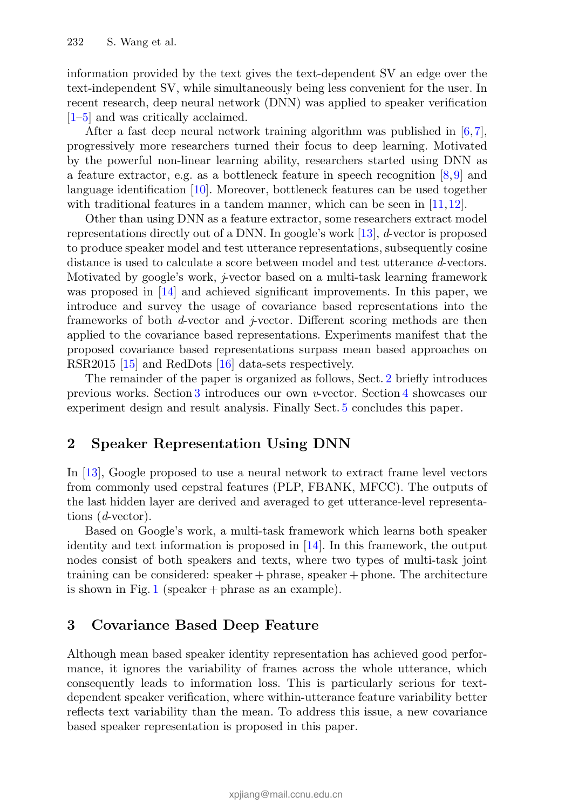information provided by the text gives the text-dependent SV an edge over the text-independent SV, while simultaneously being less convenient for the user. In recent research, deep neural network (DNN) was applied to speaker verification  $[1–5]$  and was critically acclaimed.

After a fast deep neural network training algorithm was published in  $[6,7]$ , progressively more researchers turned their focus to deep learning. Motivated by the powerful non-linear learning ability, researchers started using DNN as a feature extractor, e.g. as a bottleneck feature in speech recognition [8,9] and language identification [10]. Moreover, bottleneck features can be used together with traditional features in a tandem manner, which can be seen in [11, 12].

Other than using DNN as a feature extractor, some researchers extract model representations directly out of a DNN. In google's work [13], *d*-vector is proposed to produce speaker model and test utterance representations, subsequently cosine distance is used to calculate a score between model and test utterance *d*-vectors. Motivated by google's work, *j*-vector based on a multi-task learning framework was proposed in [14] and achieved significant improvements. In this paper, we introduce and survey the usage of covariance based representations into the frameworks of both *d*-vector and *j*-vector. Different scoring methods are then applied to the covariance based representations. Experiments manifest that the proposed covariance based representations surpass mean based approaches on RSR2015 [15] and RedDots [16] data-sets respectively.

The remainder of the paper is organized as follows, Sect. 2 briefly introduces previous works. Section 3 introduces our own *v*-vector. Section 4 showcases our experiment design and result analysis. Finally Sect. 5 concludes this paper.

# 2 Speaker Representation Using DNN

In [13], Google proposed to use a neural network to extract frame level vectors from commonly used cepstral features (PLP, FBANK, MFCC). The outputs of the last hidden layer are derived and averaged to get utterance-level representations (*d*-vector).

Based on Google's work, a multi-task framework which learns both speaker identity and text information is proposed in [14]. In this framework, the output nodes consist of both speakers and texts, where two types of multi-task joint training can be considered: speaker + phrase, speaker + phone. The architecture is shown in Fig. 1 (speaker + phrase as an example).

# 3 Covariance Based Deep Feature

Although mean based speaker identity representation has achieved good performance, it ignores the variability of frames across the whole utterance, which consequently leads to information loss. This is particularly serious for textdependent speaker verification, where within-utterance feature variability better reflects text variability than the mean. To address this issue, a new covariance based speaker representation is proposed in this paper.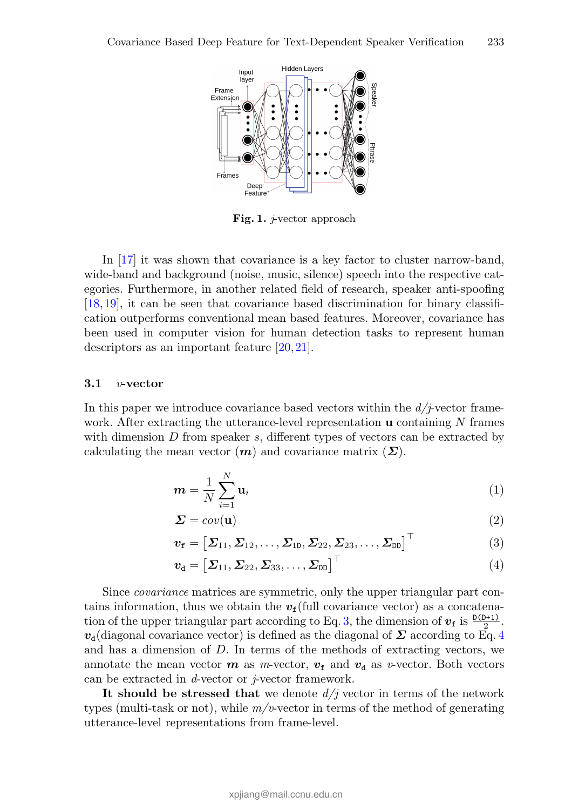

Fig. 1. *j*-vector approach

In [17] it was shown that covariance is a key factor to cluster narrow-band, wide-band and background (noise, music, silence) speech into the respective categories. Furthermore, in another related field of research, speaker anti-spoofing [18,19], it can be seen that covariance based discrimination for binary classification outperforms conventional mean based features. Moreover, covariance has been used in computer vision for human detection tasks to represent human descriptors as an important feature [20,21].

#### 3.1 *v*-vector

In this paper we introduce covariance based vectors within the *d/j*-vector framework. After extracting the utterance-level representation u containing *N* frames with dimension *D* from speaker *s*, different types of vectors can be extracted by calculating the mean vector  $(m)$  and covariance matrix  $(\Sigma)$ .

$$
\boldsymbol{m} = \frac{1}{N} \sum_{i=1}^{N} \mathbf{u}_i
$$
 (1)

$$
\Sigma = cov(\mathbf{u})\tag{2}
$$

$$
\boldsymbol{v}_{\mathrm{f}} = \left[\boldsymbol{\varSigma}_{11}, \boldsymbol{\varSigma}_{12}, \ldots, \boldsymbol{\varSigma}_{1D}, \boldsymbol{\varSigma}_{22}, \boldsymbol{\varSigma}_{23}, \ldots, \boldsymbol{\varSigma}_{DD}\right]^{\top} \tag{3}
$$

$$
\boldsymbol{v}_{\rm d} = \left[\boldsymbol{\varSigma}_{11}, \boldsymbol{\varSigma}_{22}, \boldsymbol{\varSigma}_{33}, \ldots, \boldsymbol{\varSigma}_{\rm DD}\right]^{\top} \tag{4}
$$

Since *covariance* matrices are symmetric, only the upper triangular part contains information, thus we obtain the  $v_f$ (full covariance vector) as a concatenation of the upper triangular part according to Eq. 3, the dimension of  $v_f$  is  $\frac{D(D+1)}{2}$ .  $v_{d}$ (diagonal covariance vector) is defined as the diagonal of  $\Sigma$  according to Eq. 4 and has a dimension of *D*. In terms of the methods of extracting vectors, we annotate the mean vector  $m$  as *m*-vector,  $v_f$  and  $v_d$  as *v*-vector. Both vectors can be extracted in *d*-vector or *j*-vector framework.

It should be stressed that we denote  $d/j$  vector in terms of the network types (multi-task or not), while *m/v*-vector in terms of the method of generating utterance-level representations from frame-level.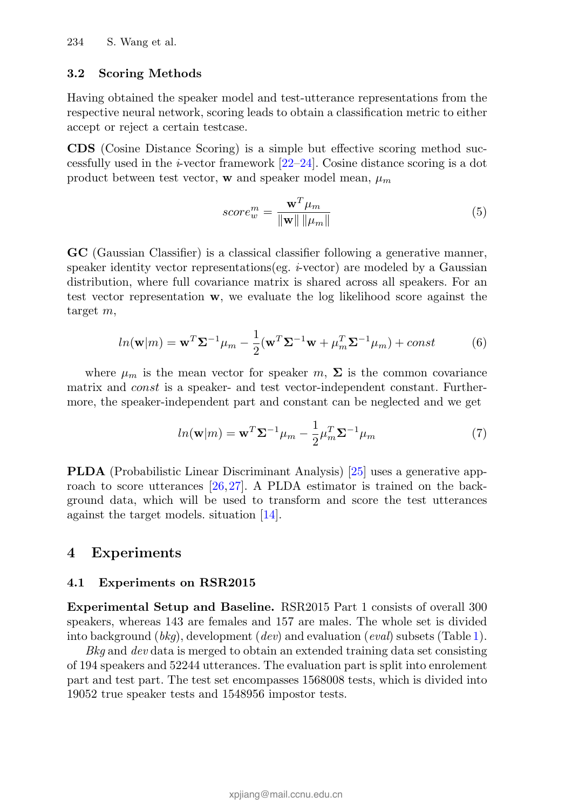#### 3.2 Scoring Methods

Having obtained the speaker model and test-utterance representations from the respective neural network, scoring leads to obtain a classification metric to either accept or reject a certain testcase.

CDS (Cosine Distance Scoring) is a simple but effective scoring method successfully used in the *i*-vector framework  $[22-24]$ . Cosine distance scoring is a dot product between test vector, **w** and speaker model mean,  $\mu_m$ 

$$
score_w^m = \frac{\mathbf{w}^T \mu_m}{\|\mathbf{w}\| \|\mu_m\|}
$$
(5)

GC (Gaussian Classifier) is a classical classifier following a generative manner, speaker identity vector representations(eg. *i*-vector) are modeled by a Gaussian distribution, where full covariance matrix is shared across all speakers. For an test vector representation w, we evaluate the log likelihood score against the target *m*,

$$
ln(\mathbf{w}|m) = \mathbf{w}^T \mathbf{\Sigma}^{-1} \mu_m - \frac{1}{2} (\mathbf{w}^T \mathbf{\Sigma}^{-1} \mathbf{w} + \mu_m^T \mathbf{\Sigma}^{-1} \mu_m) + const
$$
(6)

where  $\mu_m$  is the mean vector for speaker *m*,  $\Sigma$  is the common covariance matrix and *const* is a speaker- and test vector-independent constant. Furthermore, the speaker-independent part and constant can be neglected and we get

$$
ln(\mathbf{w}|m) = \mathbf{w}^T \mathbf{\Sigma}^{-1} \mu_m - \frac{1}{2} \mu_m^T \mathbf{\Sigma}^{-1} \mu_m
$$
 (7)

PLDA (Probabilistic Linear Discriminant Analysis) [25] uses a generative approach to score utterances [26,27]. A PLDA estimator is trained on the background data, which will be used to transform and score the test utterances against the target models. situation [14].

### 4 Experiments

### 4.1 Experiments on RSR2015

Experimental Setup and Baseline. RSR2015 Part 1 consists of overall 300 speakers, whereas 143 are females and 157 are males. The whole set is divided into background (*bkg*), development (*dev*) and evaluation (*eval*) subsets (Table 1).

*Bkg* and *dev* data is merged to obtain an extended training data set consisting of 194 speakers and 52244 utterances. The evaluation part is split into enrolement part and test part. The test set encompasses 1568008 tests, which is divided into 19052 true speaker tests and 1548956 impostor tests.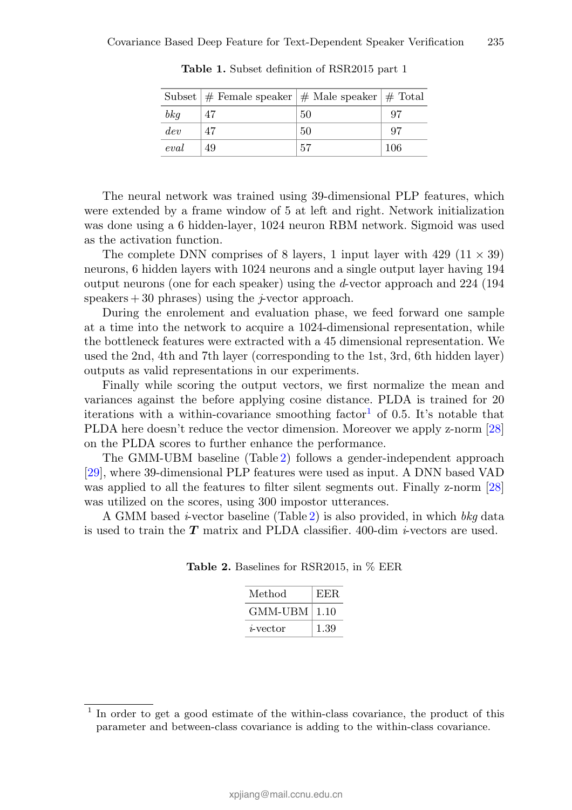|       | Subset $\#$ Female speaker $\#$ Male speaker $\#$ Total |     |     |
|-------|---------------------------------------------------------|-----|-----|
| b k q | 47                                                      | 50  | 97  |
| dev   | 47                                                      | 50  | 97  |
| eval  | 49                                                      | .57 | 106 |

Table 1. Subset definition of RSR2015 part 1

The neural network was trained using 39-dimensional PLP features, which were extended by a frame window of 5 at left and right. Network initialization was done using a 6 hidden-layer, 1024 neuron RBM network. Sigmoid was used as the activation function.

The complete DNN comprises of 8 layers, 1 input layer with  $429$   $(11 \times 39)$ neurons, 6 hidden layers with 1024 neurons and a single output layer having 194 output neurons (one for each speaker) using the *d*-vector approach and 224 (194 speakers  $+30$  phrases) using the *j*-vector approach.

During the enrolement and evaluation phase, we feed forward one sample at a time into the network to acquire a 1024-dimensional representation, while the bottleneck features were extracted with a 45 dimensional representation. We used the 2nd, 4th and 7th layer (corresponding to the 1st, 3rd, 6th hidden layer) outputs as valid representations in our experiments.

Finally while scoring the output vectors, we first normalize the mean and variances against the before applying cosine distance. PLDA is trained for 20 iterations with a within-covariance smoothing factor<sup>1</sup> of 0.5. It's notable that PLDA here doesn't reduce the vector dimension. Moreover we apply z-norm [28] on the PLDA scores to further enhance the performance.

The GMM-UBM baseline (Table 2) follows a gender-independent approach [29], where 39-dimensional PLP features were used as input. A DNN based VAD was applied to all the features to filter silent segments out. Finally z-norm [28] was utilized on the scores, using 300 impostor utterances.

A GMM based *i*-vector baseline (Table 2) is also provided, in which *bkg* data is used to train the *T* matrix and PLDA classifier. 400-dim *i*-vectors are used.

| Method              | EER. |
|---------------------|------|
| $GMM$ -UBM   $1.10$ |      |
| <i>i</i> -vector    | 1.39 |

Table 2. Baselines for RSR2015, in % EER

<sup>&</sup>lt;sup>1</sup> In order to get a good estimate of the within-class covariance, the product of this parameter and between-class covariance is adding to the within-class covariance.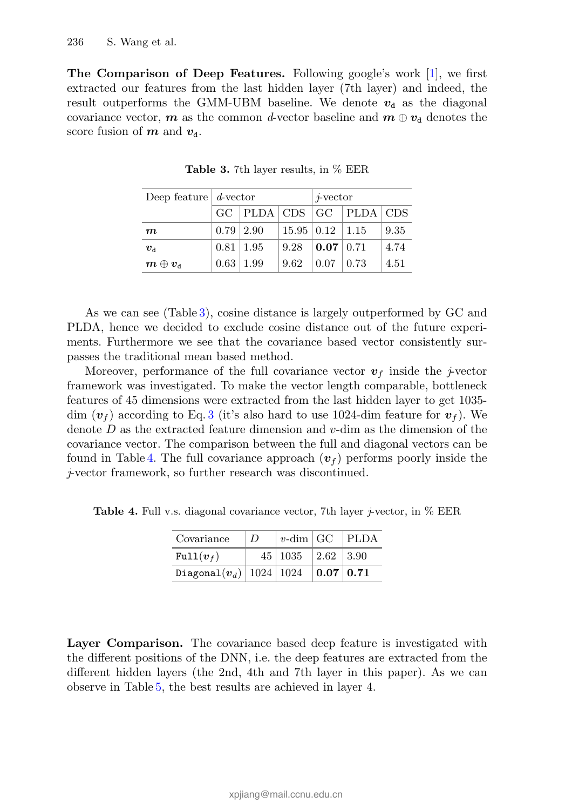The Comparison of Deep Features. Following google's work [1], we first extracted our features from the last hidden layer (7th layer) and indeed, the result outperforms the GMM-UBM baseline. We denote  $v_d$  as the diagonal covariance vector,  $m$  as the common *d*-vector baseline and  $m \oplus v_d$  denotes the score fusion of  $m$  and  $v_d$ .

| Deep feature $d$ -vector                            |                                         |                  |                             | $\dot{r}$ vector    |  |      |
|-----------------------------------------------------|-----------------------------------------|------------------|-----------------------------|---------------------|--|------|
|                                                     | $GC$   PLDA $ CDS $ $GC$   PLDA $ CDS $ |                  |                             |                     |  |      |
| $\boldsymbol{m}$                                    |                                         | $0.79 \mid 2.90$ | $15.95 \mid 0.12 \mid 1.15$ |                     |  | 9.35 |
| $\boldsymbol{v}_{\rm d}$                            | $0.81 \, \, 1.95$                       |                  | $9.28$   0.07   0.71        |                     |  | 4.74 |
| $\boldsymbol{m} \oplus \boldsymbol{v}_{\mathrm{d}}$ | $0.63 \mid 1.99$                        |                  | 9.62                        | $0.07 \;   \; 0.73$ |  | 4.51 |

**Table 3.** 7th layer results, in  $%$  EER

As we can see (Table 3), cosine distance is largely outperformed by GC and PLDA, hence we decided to exclude cosine distance out of the future experiments. Furthermore we see that the covariance based vector consistently surpasses the traditional mean based method.

Moreover, performance of the full covariance vector  $v_f$  inside the *j*-vector framework was investigated. To make the vector length comparable, bottleneck features of 45 dimensions were extracted from the last hidden layer to get 1035 dim  $(v_f)$  according to Eq. 3 (it's also hard to use 1024-dim feature for  $v_f$ ). We denote *D* as the extracted feature dimension and *v*-dim as the dimension of the covariance vector. The comparison between the full and diagonal vectors can be found in Table 4. The full covariance approach  $(v_f)$  performs poorly inside the *j*-vector framework, so further research was discontinued.

Table 4. Full v.s. diagonal covariance vector, 7th layer *j*-vector, in % EER

| Covariance                           | $\Box D$ | $ v$ -dim GC PLDA                  |  |
|--------------------------------------|----------|------------------------------------|--|
| $Full(v_f)$                          |          | $45 \mid 1035 \mid 2.62 \mid 3.90$ |  |
| Diagonal $(v_d)$ 1024 1024 0.07 0.71 |          |                                    |  |

Layer Comparison. The covariance based deep feature is investigated with the different positions of the DNN, i.e. the deep features are extracted from the different hidden layers (the 2nd, 4th and 7th layer in this paper). As we can observe in Table 5, the best results are achieved in layer 4.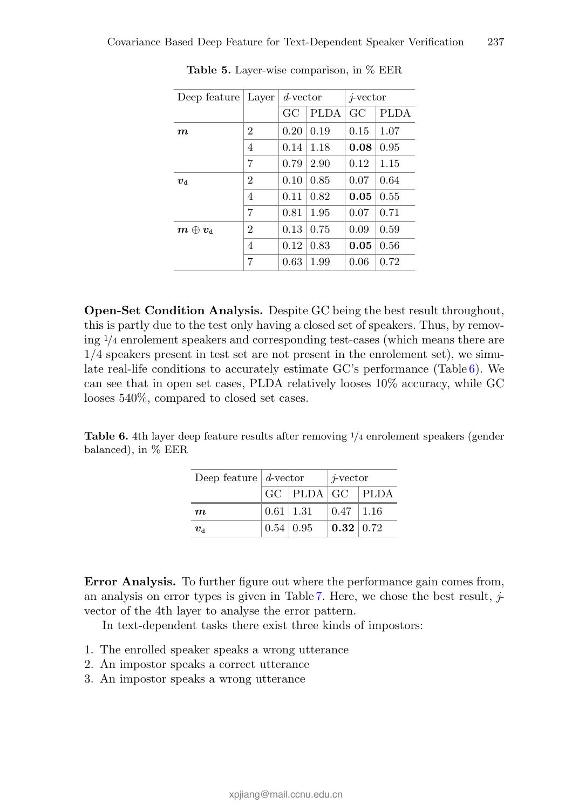| Deep feature                                        | Layer          | $d$ -vector |             | $\dot{r}$ vector |             |
|-----------------------------------------------------|----------------|-------------|-------------|------------------|-------------|
|                                                     |                | GC          | <b>PLDA</b> | GC               | <b>PLDA</b> |
| $\bm{m}$                                            | $\overline{2}$ | 0.20        | 0.19        | 0.15             | 1.07        |
|                                                     | 4              | 0.14        | 1.18        | 0.08             | 0.95        |
|                                                     | 7              | 0.79        | 2.90        | 0.12             | 1.15        |
| $v_{\rm d}$                                         | $\overline{2}$ | 0.10        | 0.85        | 0.07             | 0.64        |
|                                                     | 4              | 0.11        | 0.82        | 0.05             | 0.55        |
|                                                     | $\overline{7}$ | 0.81        | 1.95        | 0.07             | 0.71        |
| $\boldsymbol{m} \oplus \boldsymbol{v}_{\mathrm{d}}$ | $\overline{2}$ | 0.13        | 0.75        | 0.09             | 0.59        |
|                                                     | 4              | 0.12        | 0.83        | 0.05             | 0.56        |
|                                                     | 7              | 0.63        | 1.99        | 0.06             | 0.72        |

**Table 5.** Layer-wise comparison, in  $\%$  EER

Open-Set Condition Analysis. Despite GC being the best result throughout, this is partly due to the test only having a closed set of speakers. Thus, by removing <sup>1</sup>*/*<sup>4</sup> enrolement speakers and corresponding test-cases (which means there are 1/4 speakers present in test set are not present in the enrolement set), we simulate real-life conditions to accurately estimate GC's performance (Table 6). We can see that in open set cases, PLDA relatively looses 10% accuracy, while GC looses 540%, compared to closed set cases.

Table 6. 4th layer deep feature results after removing <sup>1</sup>*/*<sup>4</sup> enrolement speakers (gender balanced), in % EER

| Deep feature $d$ -vector |                                                 |                   | $\dot{r}$ vector |  |
|--------------------------|-------------------------------------------------|-------------------|------------------|--|
|                          | $\vert$ GC $\vert$ PLDA $\vert$ GC $\vert$ PLDA |                   |                  |  |
| $\boldsymbol{m}$         |                                                 | $0.61 \, \, 1.31$ | $0.47$   1.16    |  |
| $v_{\rm d}$              |                                                 | $0.54\, \,0.95$   | 0.32   0.72      |  |

Error Analysis. To further figure out where the performance gain comes from, an analysis on error types is given in Table 7. Here, we chose the best result,  $\dot{\tau}$ vector of the 4th layer to analyse the error pattern.

In text-dependent tasks there exist three kinds of impostors:

- 1. The enrolled speaker speaks a wrong utterance
- 2. An impostor speaks a correct utterance
- 3. An impostor speaks a wrong utterance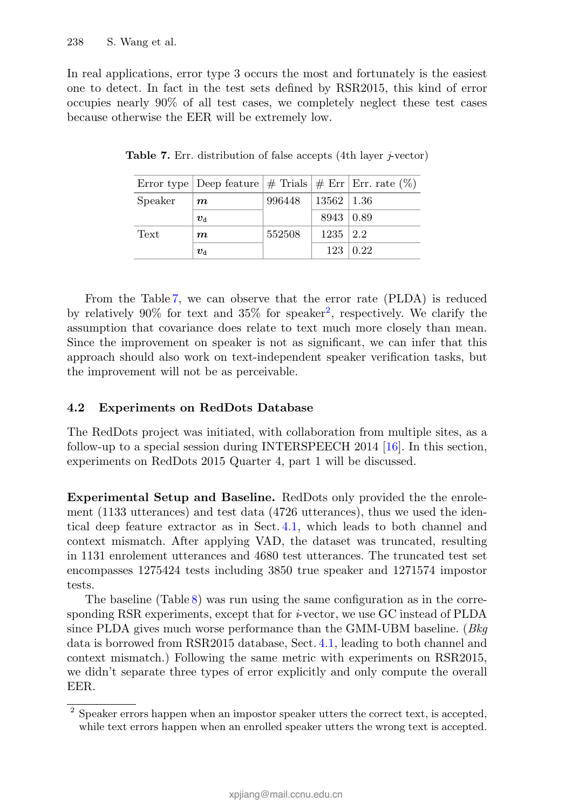In real applications, error type 3 occurs the most and fortunately is the easiest one to detect. In fact in the test sets defined by RSR2015, this kind of error occupies nearly 90% of all test cases, we completely neglect these test cases because otherwise the EER will be extremely low.

|         | Error type Deep feature $\#$ Trials $\#$ Err Err. rate $(\%)$ |        |                  |                 |
|---------|---------------------------------------------------------------|--------|------------------|-----------------|
| Speaker | $\bm{m}$                                                      | 996448 | $13562$   1.36   |                 |
|         | $\boldsymbol{v}_\text{d}$                                     |        | $8943 \mid 0.89$ |                 |
| Text    | $\boldsymbol{m}$                                              | 552508 | $1235 \mid 2.2$  |                 |
|         | $\boldsymbol{v}_\mathrm{d}$                                   |        |                  | $123 \mid 0.22$ |

Table 7. Err. distribution of false accepts (4th layer *j*-vector)

From the Table 7, we can observe that the error rate (PLDA) is reduced by relatively 90% for text and 35% for speaker<sup>2</sup>, respectively. We clarify the assumption that covariance does relate to text much more closely than mean. Since the improvement on speaker is not as significant, we can infer that this approach should also work on text-independent speaker verification tasks, but the improvement will not be as perceivable.

### 4.2 Experiments on RedDots Database

The RedDots project was initiated, with collaboration from multiple sites, as a follow-up to a special session during INTERSPEECH 2014 [16]. In this section, experiments on RedDots 2015 Quarter 4, part 1 will be discussed.

Experimental Setup and Baseline. RedDots only provided the the enrolement (1133 utterances) and test data (4726 utterances), thus we used the identical deep feature extractor as in Sect. 4.1, which leads to both channel and context mismatch. After applying VAD, the dataset was truncated, resulting in 1131 enrolement utterances and 4680 test utterances. The truncated test set encompasses 1275424 tests including 3850 true speaker and 1271574 impostor tests.

The baseline (Table 8) was run using the same configuration as in the corresponding RSR experiments, except that for *i*-vector, we use GC instead of PLDA since PLDA gives much worse performance than the GMM-UBM baseline. (*Bkg* data is borrowed from RSR2015 database, Sect. 4.1, leading to both channel and context mismatch.) Following the same metric with experiments on RSR2015, we didn't separate three types of error explicitly and only compute the overall EER.

<sup>&</sup>lt;sup>2</sup> Speaker errors happen when an impostor speaker utters the correct text, is accepted, while text errors happen when an enrolled speaker utters the wrong text is accepted.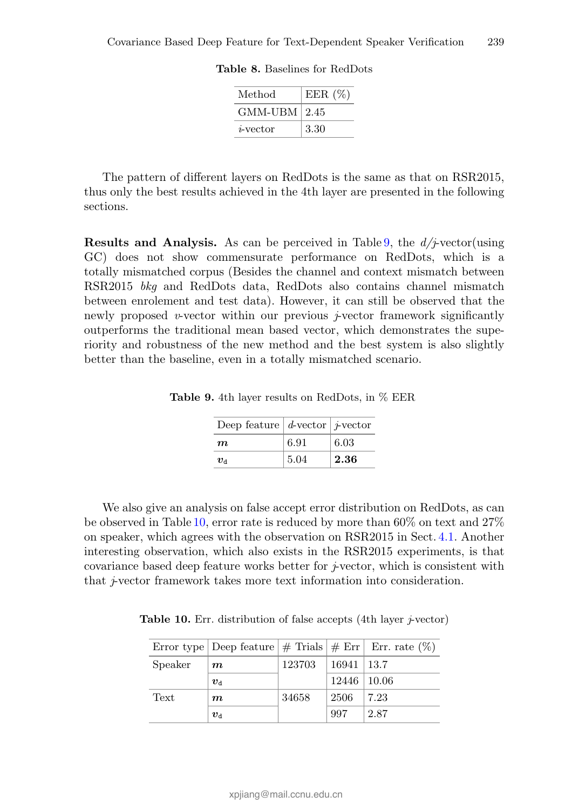| Method             | EER $(\%)$ |
|--------------------|------------|
| $GMM$ -UBM $ 2.45$ |            |
| <i>i</i> -vector   | 3.30       |

Table 8. Baselines for RedDots

The pattern of different layers on RedDots is the same as that on RSR2015, thus only the best results achieved in the 4th layer are presented in the following sections.

Results and Analysis. As can be perceived in Table 9, the *d/j*-vector(using GC) does not show commensurate performance on RedDots, which is a totally mismatched corpus (Besides the channel and context mismatch between RSR2015 *bkg* and RedDots data, RedDots also contains channel mismatch between enrolement and test data). However, it can still be observed that the newly proposed *v*-vector within our previous  $\dot{\tau}$ -vector framework significantly outperforms the traditional mean based vector, which demonstrates the superiority and robustness of the new method and the best system is also slightly better than the baseline, even in a totally mismatched scenario.

Deep feature *d*-vector *j*-vector *m* 6.91 6.03  $v_{\rm d}$  | 5.04 | **2.36** 

Table 9. 4th layer results on RedDots, in % EER

We also give an analysis on false accept error distribution on RedDots, as can be observed in Table 10, error rate is reduced by more than 60% on text and 27% on speaker, which agrees with the observation on RSR2015 in Sect. 4.1. Another interesting observation, which also exists in the RSR2015 experiments, is that covariance based deep feature works better for *j*-vector, which is consistent with that *j*-vector framework takes more text information into consideration.

Table 10. Err. distribution of false accepts (4th layer *j*-vector)

|         |                          |        |                   | Error type Deep feature $\#$ Trials $\#$ Err Err. rate $(\%)$ |
|---------|--------------------------|--------|-------------------|---------------------------------------------------------------|
| Speaker | $\bm{m}$                 | 123703 | $16941 \mid 13.7$ |                                                               |
|         | $v_{\rm d}$              |        | $12446$   10.06   |                                                               |
| Text    | $\bm{m}$                 | 34658  | 2506              | 7.23                                                          |
|         | $\boldsymbol{v}_{\rm d}$ |        | 997               | 2.87                                                          |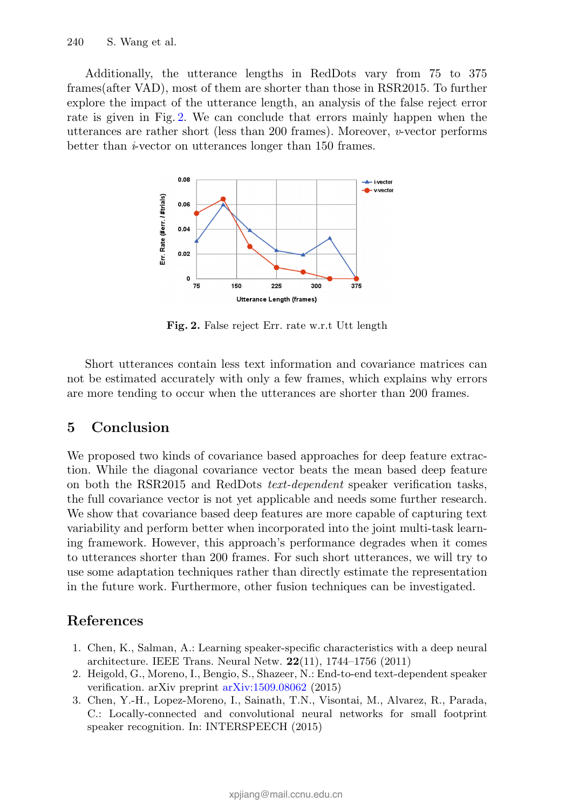Additionally, the utterance lengths in RedDots vary from 75 to 375 frames(after VAD), most of them are shorter than those in RSR2015. To further explore the impact of the utterance length, an analysis of the false reject error rate is given in Fig. 2. We can conclude that errors mainly happen when the utterances are rather short (less than 200 frames). Moreover, *v*-vector performs better than *i*-vector on utterances longer than 150 frames.



Fig. 2. False reject Err. rate w.r.t Utt length

Short utterances contain less text information and covariance matrices can not be estimated accurately with only a few frames, which explains why errors are more tending to occur when the utterances are shorter than 200 frames.

# 5 Conclusion

We proposed two kinds of covariance based approaches for deep feature extraction. While the diagonal covariance vector beats the mean based deep feature on both the RSR2015 and RedDots *text-dependent* speaker verification tasks, the full covariance vector is not yet applicable and needs some further research. We show that covariance based deep features are more capable of capturing text variability and perform better when incorporated into the joint multi-task learning framework. However, this approach's performance degrades when it comes to utterances shorter than 200 frames. For such short utterances, we will try to use some adaptation techniques rather than directly estimate the representation in the future work. Furthermore, other fusion techniques can be investigated.

# References

- 1. Chen, K., Salman, A.: Learning speaker-specific characteristics with a deep neural architecture. IEEE Trans. Neural Netw. 22(11), 1744–1756 (2011)
- 2. Heigold, G., Moreno, I., Bengio, S., Shazeer, N.: End-to-end text-dependent speaker verification. arXiv preprint arXiv:1509.08062 (2015)
- 3. Chen, Y.-H., Lopez-Moreno, I., Sainath, T.N., Visontai, M., Alvarez, R., Parada, C.: Locally-connected and convolutional neural networks for small footprint speaker recognition. In: INTERSPEECH (2015)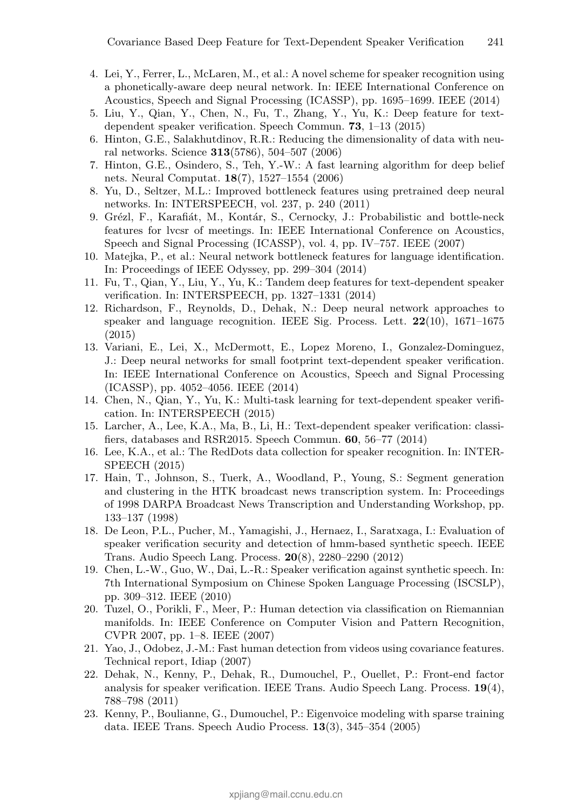- 4. Lei, Y., Ferrer, L., McLaren, M., et al.: A novel scheme for speaker recognition using a phonetically-aware deep neural network. In: IEEE International Conference on Acoustics, Speech and Signal Processing (ICASSP), pp. 1695–1699. IEEE (2014)
- 5. Liu, Y., Qian, Y., Chen, N., Fu, T., Zhang, Y., Yu, K.: Deep feature for textdependent speaker verification. Speech Commun. 73, 1–13 (2015)
- 6. Hinton, G.E., Salakhutdinov, R.R.: Reducing the dimensionality of data with neural networks. Science 313(5786), 504–507 (2006)
- 7. Hinton, G.E., Osindero, S., Teh, Y.-W.: A fast learning algorithm for deep belief nets. Neural Computat. 18(7), 1527–1554 (2006)
- 8. Yu, D., Seltzer, M.L.: Improved bottleneck features using pretrained deep neural networks. In: INTERSPEECH, vol. 237, p. 240 (2011)
- 9. Grézl, F., Karafiát, M., Kontár, S., Cernocky, J.: Probabilistic and bottle-neck features for lvcsr of meetings. In: IEEE International Conference on Acoustics, Speech and Signal Processing (ICASSP), vol. 4, pp. IV–757. IEEE (2007)
- 10. Matejka, P., et al.: Neural network bottleneck features for language identification. In: Proceedings of IEEE Odyssey, pp. 299–304 (2014)
- 11. Fu, T., Qian, Y., Liu, Y., Yu, K.: Tandem deep features for text-dependent speaker verification. In: INTERSPEECH, pp. 1327–1331 (2014)
- 12. Richardson, F., Reynolds, D., Dehak, N.: Deep neural network approaches to speaker and language recognition. IEEE Sig. Process. Lett.  $22(10)$ ,  $1671-1675$ (2015)
- 13. Variani, E., Lei, X., McDermott, E., Lopez Moreno, I., Gonzalez-Dominguez, J.: Deep neural networks for small footprint text-dependent speaker verification. In: IEEE International Conference on Acoustics, Speech and Signal Processing (ICASSP), pp. 4052–4056. IEEE (2014)
- 14. Chen, N., Qian, Y., Yu, K.: Multi-task learning for text-dependent speaker verification. In: INTERSPEECH (2015)
- 15. Larcher, A., Lee, K.A., Ma, B., Li, H.: Text-dependent speaker verification: classifiers, databases and RSR2015. Speech Commun. 60, 56–77 (2014)
- 16. Lee, K.A., et al.: The RedDots data collection for speaker recognition. In: INTER-SPEECH (2015)
- 17. Hain, T., Johnson, S., Tuerk, A., Woodland, P., Young, S.: Segment generation and clustering in the HTK broadcast news transcription system. In: Proceedings of 1998 DARPA Broadcast News Transcription and Understanding Workshop, pp. 133–137 (1998)
- 18. De Leon, P.L., Pucher, M., Yamagishi, J., Hernaez, I., Saratxaga, I.: Evaluation of speaker verification security and detection of hmm-based synthetic speech. IEEE Trans. Audio Speech Lang. Process. 20(8), 2280–2290 (2012)
- 19. Chen, L.-W., Guo, W., Dai, L.-R.: Speaker verification against synthetic speech. In: 7th International Symposium on Chinese Spoken Language Processing (ISCSLP), pp. 309–312. IEEE (2010)
- 20. Tuzel, O., Porikli, F., Meer, P.: Human detection via classification on Riemannian manifolds. In: IEEE Conference on Computer Vision and Pattern Recognition, CVPR 2007, pp. 1–8. IEEE (2007)
- 21. Yao, J., Odobez, J.-M.: Fast human detection from videos using covariance features. Technical report, Idiap (2007)
- 22. Dehak, N., Kenny, P., Dehak, R., Dumouchel, P., Ouellet, P.: Front-end factor analysis for speaker verification. IEEE Trans. Audio Speech Lang. Process.  $19(4)$ , 788–798 (2011)
- 23. Kenny, P., Boulianne, G., Dumouchel, P.: Eigenvoice modeling with sparse training data. IEEE Trans. Speech Audio Process. 13(3), 345–354 (2005)